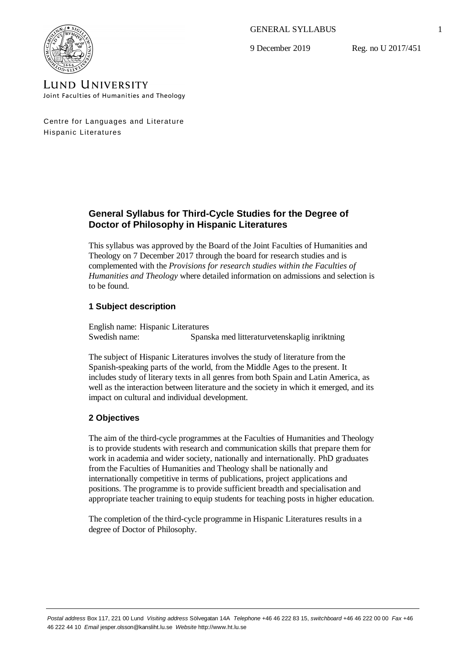GENERAL SYLLABUS

9 December 2019

Reg. no U 2017/451



**LUND UNIVERSITY** Joint Faculties of Humanities and Theology

Centre for Languages and Literature Hispanic Literatures

# **General Syllabus for Third-Cycle Studies for the Degree of Doctor of Philosophy in Hispanic Literatures**

This syllabus was approved by the Board of the Joint Faculties of Humanities and Theology on 7 December 2017 through the board for research studies and is complemented with the *Provisions for research studies within the Faculties of Humanities and Theology* where detailed information on admissions and selection is to be found.

# **1 Subject description**

English name: Hispanic Literatures Swedish name: Spanska med litteraturvetenskaplig inriktning

The subject of Hispanic Literatures involves the study of literature from the Spanish-speaking parts of the world, from the Middle Ages to the present. It includes study of literary texts in all genres from both Spain and Latin America, as well as the interaction between literature and the society in which it emerged, and its impact on cultural and individual development.

# **2 Objectives**

The aim of the third-cycle programmes at the Faculties of Humanities and Theology is to provide students with research and communication skills that prepare them for work in academia and wider society, nationally and internationally. PhD graduates from the Faculties of Humanities and Theology shall be nationally and internationally competitive in terms of publications, project applications and positions. The programme is to provide sufficient breadth and specialisation and appropriate teacher training to equip students for teaching posts in higher education.

The completion of the third-cycle programme in Hispanic Literatures results in a degree of Doctor of Philosophy.

1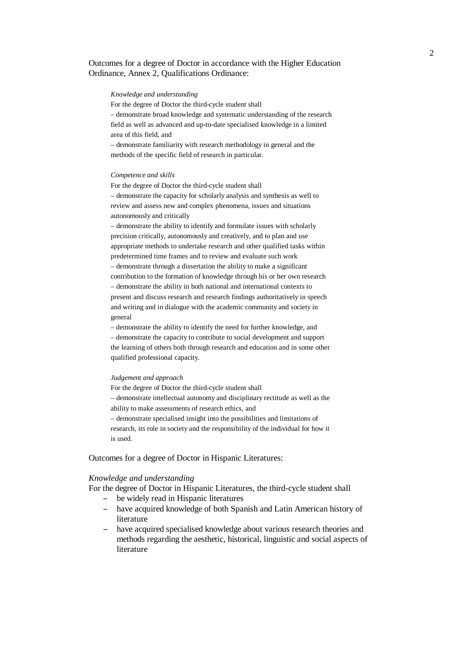## Outcomes for a degree of Doctor in accordance with the Higher Education Ordinance, Annex 2, Qualifications Ordinance:

#### *Knowledge and understanding*

For the degree of Doctor the third-cycle student shall

– demonstrate broad knowledge and systematic understanding of the research field as well as advanced and up-to-date specialised knowledge in a limited area of this field, and

– demonstrate familiarity with research methodology in general and the methods of the specific field of research in particular.

#### *Competence and skills*

For the degree of Doctor the third-cycle student shall – demonstrate the capacity for scholarly analysis and synthesis as well to review and assess new and complex phenomena, issues and situations autonomously and critically

– demonstrate the ability to identify and formulate issues with scholarly precision critically, autonomously and creatively, and to plan and use appropriate methods to undertake research and other qualified tasks within predetermined time frames and to review and evaluate such work – demonstrate through a dissertation the ability to make a significant contribution to the formation of knowledge through his or her own research – demonstrate the ability in both national and international contexts to present and discuss research and research findings authoritatively in speech and writing and in dialogue with the academic community and society in general

– demonstrate the ability to identify the need for further knowledge, and – demonstrate the capacity to contribute to social development and support the learning of others both through research and education and in some other qualified professional capacity.

#### *Judgement and approach*

For the degree of Doctor the third-cycle student shall – demonstrate intellectual autonomy and disciplinary rectitude as well as the ability to make assessments of research ethics, and – demonstrate specialised insight into the possibilities and limitations of research, its role in society and the responsibility of the individual for how it is used.

Outcomes for a degree of Doctor in Hispanic Literatures:

#### *Knowledge and understanding*

For the degree of Doctor in Hispanic Literatures, the third-cycle student shall

- be widely read in Hispanic literatures
- have acquired knowledge of both Spanish and Latin American history of literature
- have acquired specialised knowledge about various research theories and methods regarding the aesthetic, historical, linguistic and social aspects of literature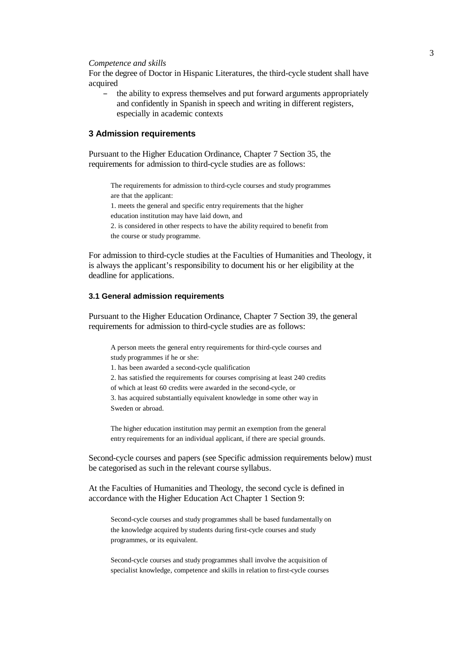*Competence and skills*

For the degree of Doctor in Hispanic Literatures, the third-cycle student shall have acquired

– the ability to express themselves and put forward arguments appropriately and confidently in Spanish in speech and writing in different registers, especially in academic contexts

## **3 Admission requirements**

Pursuant to the Higher Education Ordinance, Chapter 7 Section 35, the requirements for admission to third-cycle studies are as follows:

The requirements for admission to third-cycle courses and study programmes are that the applicant:

1. meets the general and specific entry requirements that the higher education institution may have laid down, and

2. is considered in other respects to have the ability required to benefit from the course or study programme.

For admission to third-cycle studies at the Faculties of Humanities and Theology, it is always the applicant's responsibility to document his or her eligibility at the deadline for applications.

### **3.1 General admission requirements**

Pursuant to the Higher Education Ordinance, Chapter 7 Section 39, the general requirements for admission to third-cycle studies are as follows:

A person meets the general entry requirements for third-cycle courses and study programmes if he or she:

1. has been awarded a second-cycle qualification

2. has satisfied the requirements for courses comprising at least 240 credits of which at least 60 credits were awarded in the second-cycle, or 3. has acquired substantially equivalent knowledge in some other way in

Sweden or abroad.

The higher education institution may permit an exemption from the general entry requirements for an individual applicant, if there are special grounds.

Second-cycle courses and papers (see Specific admission requirements below) must be categorised as such in the relevant course syllabus.

At the Faculties of Humanities and Theology, the second cycle is defined in accordance with the Higher Education Act Chapter 1 Section 9:

Second-cycle courses and study programmes shall be based fundamentally on the knowledge acquired by students during first-cycle courses and study programmes, or its equivalent.

Second-cycle courses and study programmes shall involve the acquisition of specialist knowledge, competence and skills in relation to first-cycle courses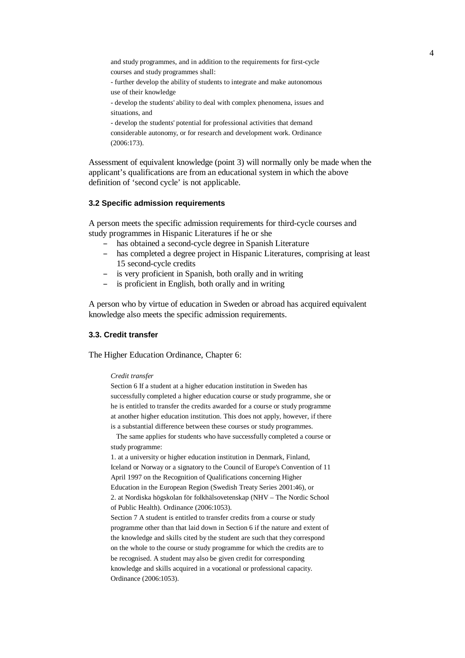and study programmes, and in addition to the requirements for first-cycle courses and study programmes shall:

- further develop the ability of students to integrate and make autonomous use of their knowledge

- develop the students' ability to deal with complex phenomena, issues and situations, and

- develop the students' potential for professional activities that demand considerable autonomy, or for research and development work. Ordinance (2006:173).

Assessment of equivalent knowledge (point 3) will normally only be made when the applicant's qualifications are from an educational system in which the above definition of 'second cycle' is not applicable.

#### **3.2 Specific admission requirements**

A person meets the specific admission requirements for third-cycle courses and study programmes in Hispanic Literatures if he or she

- has obtained a second-cycle degree in Spanish Literature
- has completed a degree project in Hispanic Literatures, comprising at least 15 second-cycle credits
- is very proficient in Spanish, both orally and in writing
- is proficient in English, both orally and in writing

A person who by virtue of education in Sweden or abroad has acquired equivalent knowledge also meets the specific admission requirements.

#### **3.3. Credit transfer**

The Higher Education Ordinance, Chapter 6:

#### *Credit transfer*

Section 6 If a student at a higher education institution in Sweden has successfully completed a higher education course or study programme, she or he is entitled to transfer the credits awarded for a course or study programme at another higher education institution. This does not apply, however, if there is a substantial difference between these courses or study programmes.

 The same applies for students who have successfully completed a course or study programme:

1. at a university or higher education institution in Denmark, Finland, Iceland or Norway or a signatory to the Council of Europe's Convention of 11 April 1997 on the Recognition of Qualifications concerning Higher Education in the European Region (Swedish Treaty Series 2001:46), or 2. at Nordiska högskolan för folkhälsovetenskap (NHV – The Nordic School of Public Health). Ordinance (2006:1053).

Section 7 A student is entitled to transfer credits from a course or study programme other than that laid down in Section 6 if the nature and extent of the knowledge and skills cited by the student are such that they correspond on the whole to the course or study programme for which the credits are to be recognised. A student may also be given credit for corresponding knowledge and skills acquired in a vocational or professional capacity. Ordinance (2006:1053).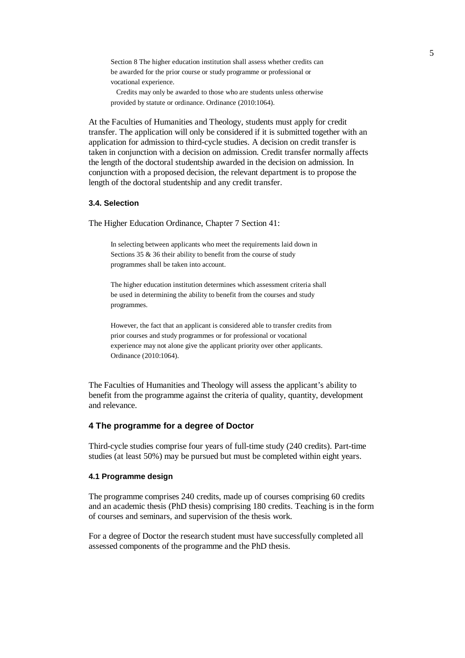Section 8 The higher education institution shall assess whether credits can be awarded for the prior course or study programme or professional or vocational experience.

 Credits may only be awarded to those who are students unless otherwise provided by statute or ordinance. Ordinance (2010:1064).

At the Faculties of Humanities and Theology, students must apply for credit transfer. The application will only be considered if it is submitted together with an application for admission to third-cycle studies. A decision on credit transfer is taken in conjunction with a decision on admission. Credit transfer normally affects the length of the doctoral studentship awarded in the decision on admission. In conjunction with a proposed decision, the relevant department is to propose the length of the doctoral studentship and any credit transfer.

### **3.4. Selection**

The Higher Education Ordinance, Chapter 7 Section 41:

In selecting between applicants who meet the requirements laid down in Sections 35 & 36 their ability to benefit from the course of study programmes shall be taken into account.

The higher education institution determines which assessment criteria shall be used in determining the ability to benefit from the courses and study programmes.

However, the fact that an applicant is considered able to transfer credits from prior courses and study programmes or for professional or vocational experience may not alone give the applicant priority over other applicants. Ordinance (2010:1064).

The Faculties of Humanities and Theology will assess the applicant's ability to benefit from the programme against the criteria of quality, quantity, development and relevance.

### **4 The programme for a degree of Doctor**

Third-cycle studies comprise four years of full-time study (240 credits). Part-time studies (at least 50%) may be pursued but must be completed within eight years.

#### **4.1 Programme design**

The programme comprises 240 credits, made up of courses comprising 60 credits and an academic thesis (PhD thesis) comprising 180 credits. Teaching is in the form of courses and seminars, and supervision of the thesis work.

For a degree of Doctor the research student must have successfully completed all assessed components of the programme and the PhD thesis.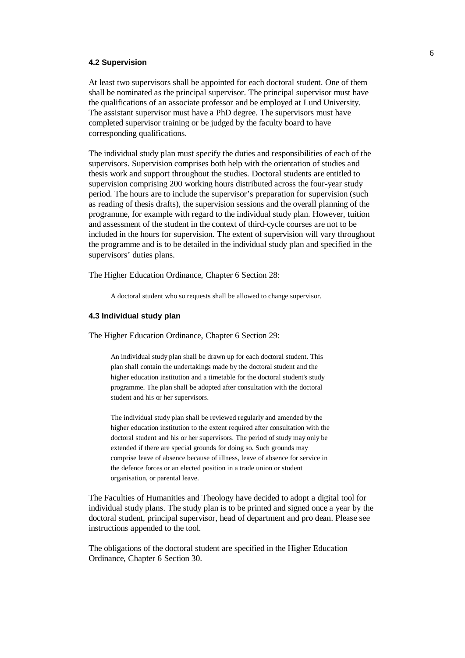### **4.2 Supervision**

At least two supervisors shall be appointed for each doctoral student. One of them shall be nominated as the principal supervisor. The principal supervisor must have the qualifications of an associate professor and be employed at Lund University. The assistant supervisor must have a PhD degree. The supervisors must have completed supervisor training or be judged by the faculty board to have corresponding qualifications.

The individual study plan must specify the duties and responsibilities of each of the supervisors. Supervision comprises both help with the orientation of studies and thesis work and support throughout the studies. Doctoral students are entitled to supervision comprising 200 working hours distributed across the four-year study period. The hours are to include the supervisor's preparation for supervision (such as reading of thesis drafts), the supervision sessions and the overall planning of the programme, for example with regard to the individual study plan. However, tuition and assessment of the student in the context of third-cycle courses are not to be included in the hours for supervision. The extent of supervision will vary throughout the programme and is to be detailed in the individual study plan and specified in the supervisors' duties plans.

The Higher Education Ordinance, Chapter 6 Section 28:

A doctoral student who so requests shall be allowed to change supervisor.

#### **4.3 Individual study plan**

The Higher Education Ordinance, Chapter 6 Section 29:

An individual study plan shall be drawn up for each doctoral student. This plan shall contain the undertakings made by the doctoral student and the higher education institution and a timetable for the doctoral student's study programme. The plan shall be adopted after consultation with the doctoral student and his or her supervisors.

The individual study plan shall be reviewed regularly and amended by the higher education institution to the extent required after consultation with the doctoral student and his or her supervisors. The period of study may only be extended if there are special grounds for doing so. Such grounds may comprise leave of absence because of illness, leave of absence for service in the defence forces or an elected position in a trade union or student organisation, or parental leave.

The Faculties of Humanities and Theology have decided to adopt a digital tool for individual study plans. The study plan is to be printed and signed once a year by the doctoral student, principal supervisor, head of department and pro dean. Please see instructions appended to the tool.

The obligations of the doctoral student are specified in the Higher Education Ordinance, Chapter 6 Section 30.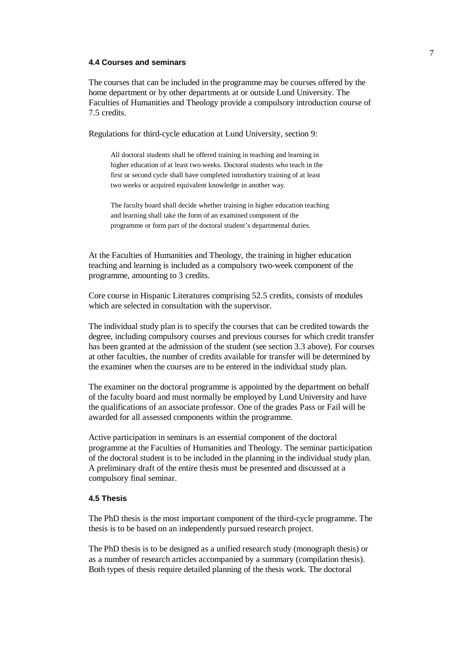### **4.4 Courses and seminars**

The courses that can be included in the programme may be courses offered by the home department or by other departments at or outside Lund University. The Faculties of Humanities and Theology provide a compulsory introduction course of 7.5 credits.

Regulations for third-cycle education at Lund University, section 9:

All doctoral students shall be offered training in teaching and learning in higher education of at least two weeks. Doctoral students who teach in the first or second cycle shall have completed introductory training of at least two weeks or acquired equivalent knowledge in another way.

The faculty board shall decide whether training in higher education teaching and learning shall take the form of an examined component of the programme or form part of the doctoral student's departmental duties.

At the Faculties of Humanities and Theology, the training in higher education teaching and learning is included as a compulsory two-week component of the programme, amounting to 3 credits.

Core course in Hispanic Literatures comprising 52.5 credits, consists of modules which are selected in consultation with the supervisor.

The individual study plan is to specify the courses that can be credited towards the degree, including compulsory courses and previous courses for which credit transfer has been granted at the admission of the student (see section 3.3 above). For courses at other faculties, the number of credits available for transfer will be determined by the examiner when the courses are to be entered in the individual study plan.

The examiner on the doctoral programme is appointed by the department on behalf of the faculty board and must normally be employed by Lund University and have the qualifications of an associate professor. One of the grades Pass or Fail will be awarded for all assessed components within the programme.

Active participation in seminars is an essential component of the doctoral programme at the Faculties of Humanities and Theology. The seminar participation of the doctoral student is to be included in the planning in the individual study plan. A preliminary draft of the entire thesis must be presented and discussed at a compulsory final seminar.

#### **4.5 Thesis**

The PhD thesis is the most important component of the third-cycle programme. The thesis is to be based on an independently pursued research project.

The PhD thesis is to be designed as a unified research study (monograph thesis) or as a number of research articles accompanied by a summary (compilation thesis). Both types of thesis require detailed planning of the thesis work. The doctoral